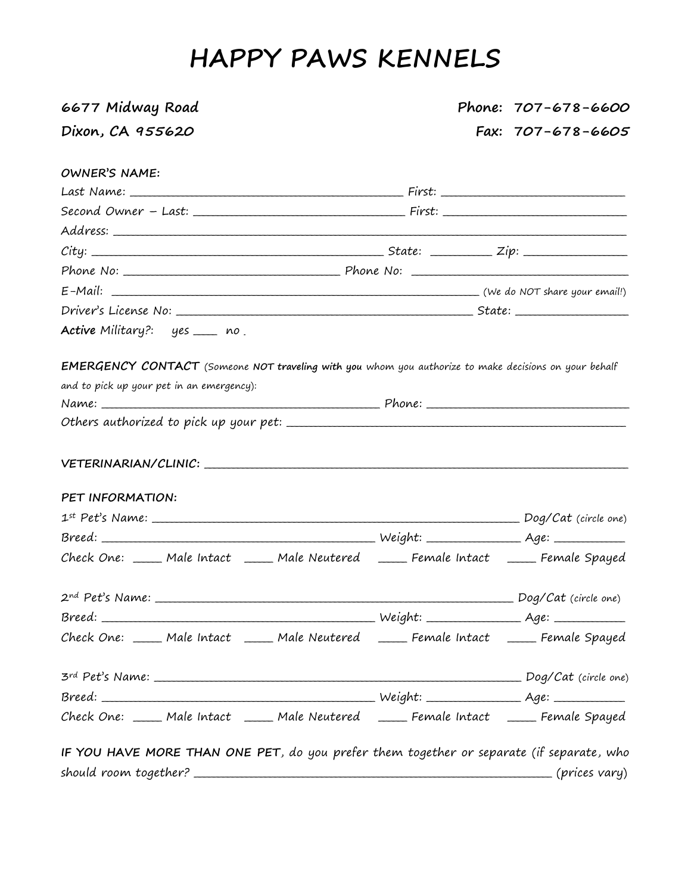# **HAPPY PAWS KENNELS**

| 6677 Midway Road                                                                                                                                                                                                               | Phone: 707-678-6600 |
|--------------------------------------------------------------------------------------------------------------------------------------------------------------------------------------------------------------------------------|---------------------|
| Dixon, CA 955620                                                                                                                                                                                                               | Fax: 707-678-6605   |
| <b>OWNER'S NAME:</b>                                                                                                                                                                                                           |                     |
|                                                                                                                                                                                                                                |                     |
|                                                                                                                                                                                                                                |                     |
|                                                                                                                                                                                                                                |                     |
|                                                                                                                                                                                                                                |                     |
|                                                                                                                                                                                                                                |                     |
|                                                                                                                                                                                                                                |                     |
|                                                                                                                                                                                                                                |                     |
| Active Military?: yes ___ no                                                                                                                                                                                                   |                     |
| EMERGENCY CONTACT (Someone NOT traveling with you whom you authorize to make decisions on your behalf<br>and to pick up your pet in an emergency):                                                                             |                     |
|                                                                                                                                                                                                                                |                     |
| VETERINARIAN/CLINIC: University of the contract of the contract of the contract of the contract of the contract of the contract of the contract of the contract of the contract of the contract of the contract of the contrac |                     |
| PET INFORMATION:                                                                                                                                                                                                               |                     |
|                                                                                                                                                                                                                                |                     |
|                                                                                                                                                                                                                                |                     |
| Check One: _____ Male Intact _____ Male Neutered _____ Female Intact _____ Female Spayed                                                                                                                                       |                     |
|                                                                                                                                                                                                                                |                     |
|                                                                                                                                                                                                                                |                     |
| Check One: ____ Male Intact ____ Male Neutered ____ Female Intact ____ Female Spayed                                                                                                                                           |                     |
|                                                                                                                                                                                                                                |                     |
|                                                                                                                                                                                                                                |                     |
| Check One: ____ Male Intact ____ Male Neutered ____ Female Intact ____ Female Spayed                                                                                                                                           |                     |
| IF YOU HAVE MORE THAN ONE PET, do you prefer them together or separate (if separate, who                                                                                                                                       |                     |